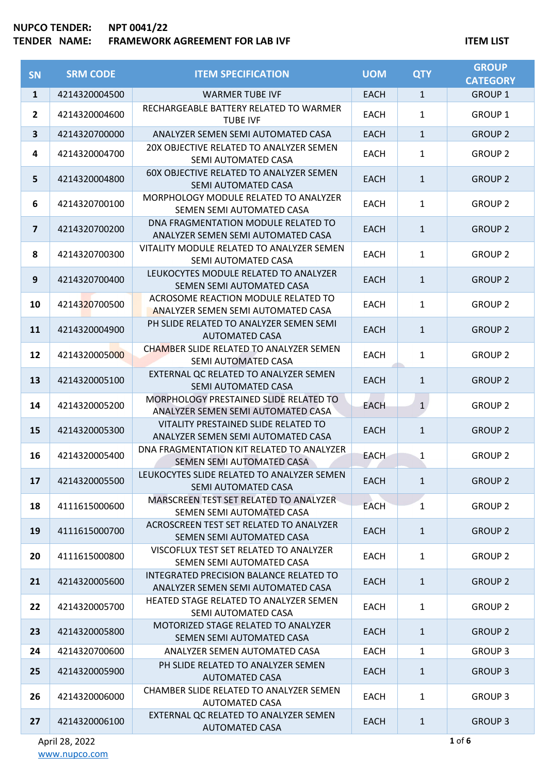## **NUPCO TENDER: NPT 0041/22 FRAMEWORK AGREEMENT FOR LAB IVF ITEM LIST**

| <b>SN</b>               | <b>SRM CODE</b> | <b>ITEM SPECIFICATION</b>                                                     | <b>UOM</b>  | <b>QTY</b>   | <b>GROUP</b><br><b>CATEGORY</b> |
|-------------------------|-----------------|-------------------------------------------------------------------------------|-------------|--------------|---------------------------------|
| $\mathbf{1}$            | 4214320004500   | <b>WARMER TUBE IVF</b>                                                        | <b>EACH</b> | $\mathbf{1}$ | <b>GROUP 1</b>                  |
| $\mathbf{2}$            | 4214320004600   | RECHARGEABLE BATTERY RELATED TO WARMER<br><b>TUBE IVF</b>                     | <b>EACH</b> | 1            | <b>GROUP 1</b>                  |
| $\overline{\mathbf{3}}$ | 4214320700000   | ANALYZER SEMEN SEMI AUTOMATED CASA                                            | <b>EACH</b> | $\mathbf{1}$ | <b>GROUP 2</b>                  |
| 4                       | 4214320004700   | 20X OBJECTIVE RELATED TO ANALYZER SEMEN<br>SEMI AUTOMATED CASA                | <b>EACH</b> | 1            | <b>GROUP 2</b>                  |
| 5                       | 4214320004800   | 60X OBJECTIVE RELATED TO ANALYZER SEMEN<br>SEMI AUTOMATED CASA                | <b>EACH</b> | $\mathbf{1}$ | <b>GROUP 2</b>                  |
| 6                       | 4214320700100   | MORPHOLOGY MODULE RELATED TO ANALYZER<br>SEMEN SEMI AUTOMATED CASA            | <b>EACH</b> | $\mathbf{1}$ | <b>GROUP 2</b>                  |
| $\overline{\mathbf{z}}$ | 4214320700200   | DNA FRAGMENTATION MODULE RELATED TO<br>ANALYZER SEMEN SEMI AUTOMATED CASA     | <b>EACH</b> | $\mathbf{1}$ | <b>GROUP 2</b>                  |
| 8                       | 4214320700300   | VITALITY MODULE RELATED TO ANALYZER SEMEN<br>SEMI AUTOMATED CASA              | <b>EACH</b> | 1            | <b>GROUP 2</b>                  |
| 9                       | 4214320700400   | LEUKOCYTES MODULE RELATED TO ANALYZER<br>SEMEN SEMI AUTOMATED CASA            | <b>EACH</b> | $\mathbf{1}$ | <b>GROUP 2</b>                  |
| 10                      | 4214320700500   | ACROSOME REACTION MODULE RELATED TO<br>ANALYZER SEMEN SEMI AUTOMATED CASA     | <b>EACH</b> | 1            | <b>GROUP 2</b>                  |
| 11                      | 4214320004900   | PH SLIDE RELATED TO ANALYZER SEMEN SEMI<br><b>AUTOMATED CASA</b>              | <b>EACH</b> | $\mathbf{1}$ | <b>GROUP 2</b>                  |
| 12                      | 4214320005000   | CHAMBER SLIDE RELATED TO ANALYZER SEMEN<br>SEMI AUTOMATED CASA                | <b>EACH</b> | $\mathbf{1}$ | <b>GROUP 2</b>                  |
| 13                      | 4214320005100   | EXTERNAL QC RELATED TO ANALYZER SEMEN<br>SEMI AUTOMATED CASA                  | <b>EACH</b> | $\mathbf{1}$ | <b>GROUP 2</b>                  |
| 14                      | 4214320005200   | MORPHOLOGY PRESTAINED SLIDE RELATED TO<br>ANALYZER SEMEN SEMI AUTOMATED CASA  | <b>EACH</b> | $\mathbf{1}$ | <b>GROUP 2</b>                  |
| 15                      | 4214320005300   | VITALITY PRESTAINED SLIDE RELATED TO<br>ANALYZER SEMEN SEMI AUTOMATED CASA    | <b>EACH</b> | $\mathbf{1}$ | <b>GROUP 2</b>                  |
| 16                      | 4214320005400   | DNA FRAGMENTATION KIT RELATED TO ANALYZER<br>SEMEN SEMI AUTOMATED CASA        | <b>EACH</b> | 1            | <b>GROUP 2</b>                  |
| 17                      | 4214320005500   | LEUKOCYTES SLIDE RELATED TO ANALYZER SEMEN<br>SEMI AUTOMATED CASA             | <b>EACH</b> | $\mathbf{1}$ | <b>GROUP 2</b>                  |
| 18                      | 4111615000600   | MARSCREEN TEST SET RELATED TO ANALYZER<br>SEMEN SEMI AUTOMATED CASA           | <b>EACH</b> | 1            | <b>GROUP 2</b>                  |
| 19                      | 4111615000700   | ACROSCREEN TEST SET RELATED TO ANALYZER<br>SEMEN SEMI AUTOMATED CASA          | <b>EACH</b> | $\mathbf{1}$ | <b>GROUP 2</b>                  |
| 20                      | 4111615000800   | VISCOFLUX TEST SET RELATED TO ANALYZER<br>SEMEN SEMI AUTOMATED CASA           | <b>EACH</b> | $\mathbf{1}$ | <b>GROUP 2</b>                  |
| 21                      | 4214320005600   | INTEGRATED PRECISION BALANCE RELATED TO<br>ANALYZER SEMEN SEMI AUTOMATED CASA | <b>EACH</b> | $\mathbf{1}$ | <b>GROUP 2</b>                  |
| 22                      | 4214320005700   | HEATED STAGE RELATED TO ANALYZER SEMEN<br>SEMI AUTOMATED CASA                 | <b>EACH</b> | $\mathbf{1}$ | <b>GROUP 2</b>                  |
| 23                      | 4214320005800   | MOTORIZED STAGE RELATED TO ANALYZER<br>SEMEN SEMI AUTOMATED CASA              | <b>EACH</b> | $\mathbf{1}$ | <b>GROUP 2</b>                  |
| 24                      | 4214320700600   | ANALYZER SEMEN AUTOMATED CASA                                                 | <b>EACH</b> | $\mathbf{1}$ | <b>GROUP 3</b>                  |
| 25                      | 4214320005900   | PH SLIDE RELATED TO ANALYZER SEMEN<br><b>AUTOMATED CASA</b>                   | <b>EACH</b> | $\mathbf{1}$ | <b>GROUP 3</b>                  |
| 26                      | 4214320006000   | CHAMBER SLIDE RELATED TO ANALYZER SEMEN<br><b>AUTOMATED CASA</b>              | <b>EACH</b> | 1            | <b>GROUP 3</b>                  |
| 27                      | 4214320006100   | EXTERNAL QC RELATED TO ANALYZER SEMEN<br><b>AUTOMATED CASA</b>                | <b>EACH</b> | $\mathbf{1}$ | <b>GROUP 3</b>                  |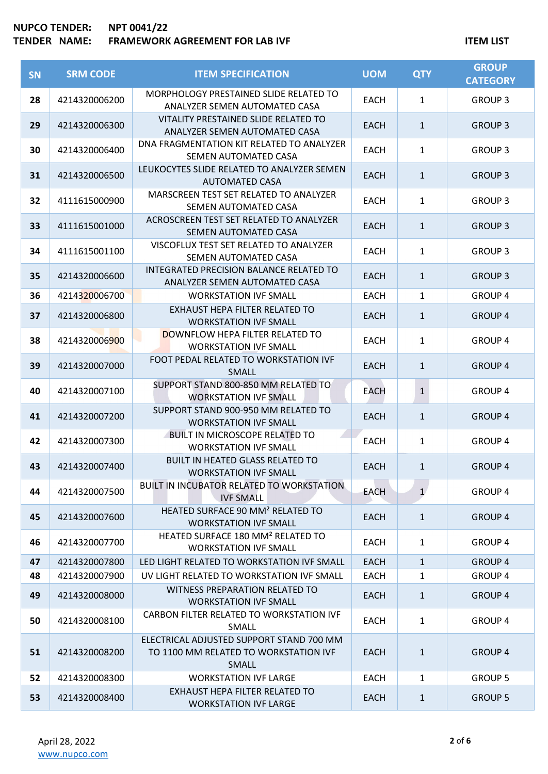## **NUPCO TENDER: NPT 0041/22**

# TENDER NAME: FRAMEWORK AGREEMENT FOR LAB IVF **ITEM AGES**

| SN | <b>SRM CODE</b> | <b>ITEM SPECIFICATION</b>                                                                  | <b>UOM</b>  | <b>QTY</b>   | <b>GROUP</b><br><b>CATEGORY</b> |
|----|-----------------|--------------------------------------------------------------------------------------------|-------------|--------------|---------------------------------|
| 28 | 4214320006200   | MORPHOLOGY PRESTAINED SLIDE RELATED TO<br>ANALYZER SEMEN AUTOMATED CASA                    | EACH        | $\mathbf{1}$ | <b>GROUP 3</b>                  |
| 29 | 4214320006300   | VITALITY PRESTAINED SLIDE RELATED TO<br>ANALYZER SEMEN AUTOMATED CASA                      | <b>EACH</b> | $\mathbf{1}$ | <b>GROUP 3</b>                  |
| 30 | 4214320006400   | DNA FRAGMENTATION KIT RELATED TO ANALYZER<br>SEMEN AUTOMATED CASA                          | <b>EACH</b> | $\mathbf{1}$ | <b>GROUP 3</b>                  |
| 31 | 4214320006500   | LEUKOCYTES SLIDE RELATED TO ANALYZER SEMEN<br><b>AUTOMATED CASA</b>                        | <b>EACH</b> | $\mathbf{1}$ | <b>GROUP 3</b>                  |
| 32 | 4111615000900   | MARSCREEN TEST SET RELATED TO ANALYZER<br>SEMEN AUTOMATED CASA                             | <b>EACH</b> | $\mathbf{1}$ | <b>GROUP 3</b>                  |
| 33 | 4111615001000   | ACROSCREEN TEST SET RELATED TO ANALYZER<br>SEMEN AUTOMATED CASA                            | <b>EACH</b> | $\mathbf{1}$ | <b>GROUP 3</b>                  |
| 34 | 4111615001100   | VISCOFLUX TEST SET RELATED TO ANALYZER<br>SEMEN AUTOMATED CASA                             | <b>EACH</b> | $\mathbf{1}$ | <b>GROUP 3</b>                  |
| 35 | 4214320006600   | INTEGRATED PRECISION BALANCE RELATED TO<br>ANALYZER SEMEN AUTOMATED CASA                   | <b>EACH</b> | $\mathbf{1}$ | <b>GROUP 3</b>                  |
| 36 | 4214320006700   | <b>WORKSTATION IVF SMALL</b>                                                               | <b>EACH</b> | $\mathbf{1}$ | <b>GROUP 4</b>                  |
| 37 | 4214320006800   | EXHAUST HEPA FILTER RELATED TO<br><b>WORKSTATION IVF SMALL</b>                             | <b>EACH</b> | $\mathbf{1}$ | <b>GROUP 4</b>                  |
| 38 | 4214320006900   | <b>DOWNFLOW HEPA FILTER RELATED TO</b><br><b>WORKSTATION IVF SMALL</b>                     | <b>EACH</b> | $\mathbf{1}$ | <b>GROUP 4</b>                  |
| 39 | 4214320007000   | FOOT PEDAL RELATED TO WORKSTATION IVF<br>SMALL                                             | <b>EACH</b> | $\mathbf{1}$ | <b>GROUP 4</b>                  |
| 40 | 4214320007100   | SUPPORT STAND 800-850 MM RELATED TO<br><b>WORKSTATION IVF SMALL</b>                        | <b>EACH</b> | $\mathbf{1}$ | <b>GROUP 4</b>                  |
| 41 | 4214320007200   | SUPPORT STAND 900-950 MM RELATED TO<br><b>WORKSTATION IVF SMALL</b>                        | <b>EACH</b> | $\mathbf{1}$ | <b>GROUP 4</b>                  |
| 42 | 4214320007300   | <b>BUILT IN MICROSCOPE RELATED TO</b><br><b>WORKSTATION IVF SMALL</b>                      | EACH        | 1            | <b>GROUP 4</b>                  |
| 43 | 4214320007400   | <b>BUILT IN HEATED GLASS RELATED TO</b><br><b>WORKSTATION IVF SMALL</b>                    | <b>EACH</b> | $\mathbf{1}$ | <b>GROUP 4</b>                  |
| 44 | 4214320007500   | <b>BUILT IN INCUBATOR RELATED TO WORKSTATION</b><br><b>IVF SMALL</b>                       | <b>EACH</b> | $\mathbf{1}$ | <b>GROUP 4</b>                  |
| 45 | 4214320007600   | HEATED SURFACE 90 MM <sup>2</sup> RELATED TO<br><b>WORKSTATION IVF SMALL</b>               | <b>EACH</b> | $\mathbf{1}$ | <b>GROUP 4</b>                  |
| 46 | 4214320007700   | HEATED SURFACE 180 MM <sup>2</sup> RELATED TO<br><b>WORKSTATION IVF SMALL</b>              | <b>EACH</b> | $\mathbf{1}$ | <b>GROUP 4</b>                  |
| 47 | 4214320007800   | LED LIGHT RELATED TO WORKSTATION IVF SMALL                                                 | <b>EACH</b> | $\mathbf{1}$ | <b>GROUP 4</b>                  |
| 48 | 4214320007900   | UV LIGHT RELATED TO WORKSTATION IVF SMALL                                                  | <b>EACH</b> | 1            | <b>GROUP 4</b>                  |
| 49 | 4214320008000   | <b>WITNESS PREPARATION RELATED TO</b><br><b>WORKSTATION IVF SMALL</b>                      | <b>EACH</b> | $\mathbf{1}$ | <b>GROUP 4</b>                  |
| 50 | 4214320008100   | CARBON FILTER RELATED TO WORKSTATION IVF<br>SMALL                                          | <b>EACH</b> | $\mathbf{1}$ | <b>GROUP 4</b>                  |
| 51 | 4214320008200   | ELECTRICAL ADJUSTED SUPPORT STAND 700 MM<br>TO 1100 MM RELATED TO WORKSTATION IVF<br>SMALL | <b>EACH</b> | $\mathbf{1}$ | <b>GROUP 4</b>                  |
| 52 | 4214320008300   | <b>WORKSTATION IVF LARGE</b>                                                               | <b>EACH</b> | $\mathbf{1}$ | <b>GROUP 5</b>                  |
| 53 | 4214320008400   | EXHAUST HEPA FILTER RELATED TO<br><b>WORKSTATION IVF LARGE</b>                             | <b>EACH</b> | $\mathbf{1}$ | <b>GROUP 5</b>                  |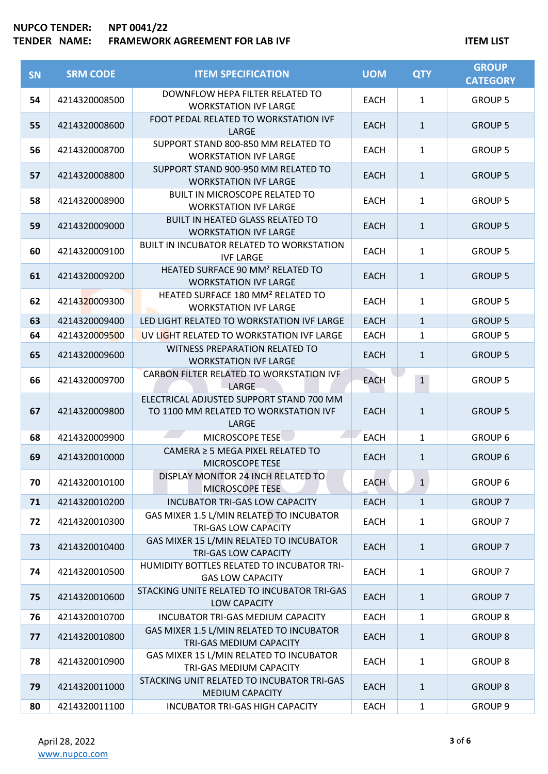## **NUPCO TENDER: NPT 0041/22**

# **TENDER NAME: FRAMEWORK AGREEMENT FOR LAB IVF ITEM ASSESSMENT ASSESSMENT POR LAB IVF**

| <b>SN</b> | <b>SRM CODE</b> | <b>ITEM SPECIFICATION</b>                                                                  | <b>UOM</b>  | <b>QTY</b>   | <b>GROUP</b><br><b>CATEGORY</b> |
|-----------|-----------------|--------------------------------------------------------------------------------------------|-------------|--------------|---------------------------------|
| 54        | 4214320008500   | DOWNFLOW HEPA FILTER RELATED TO<br><b>WORKSTATION IVF LARGE</b>                            | EACH        | $\mathbf{1}$ | <b>GROUP 5</b>                  |
| 55        | 4214320008600   | FOOT PEDAL RELATED TO WORKSTATION IVF<br><b>LARGE</b>                                      | <b>EACH</b> | $\mathbf{1}$ | <b>GROUP 5</b>                  |
| 56        | 4214320008700   | SUPPORT STAND 800-850 MM RELATED TO<br><b>WORKSTATION IVF LARGE</b>                        | <b>EACH</b> | $\mathbf{1}$ | <b>GROUP 5</b>                  |
| 57        | 4214320008800   | SUPPORT STAND 900-950 MM RELATED TO<br><b>WORKSTATION IVF LARGE</b>                        | <b>EACH</b> | $\mathbf{1}$ | <b>GROUP 5</b>                  |
| 58        | 4214320008900   | <b>BUILT IN MICROSCOPE RELATED TO</b><br><b>WORKSTATION IVF LARGE</b>                      | EACH        | $\mathbf{1}$ | <b>GROUP 5</b>                  |
| 59        | 4214320009000   | <b>BUILT IN HEATED GLASS RELATED TO</b><br><b>WORKSTATION IVF LARGE</b>                    | <b>EACH</b> | $\mathbf{1}$ | <b>GROUP 5</b>                  |
| 60        | 4214320009100   | BUILT IN INCUBATOR RELATED TO WORKSTATION<br><b>IVF LARGE</b>                              | <b>EACH</b> | $\mathbf{1}$ | <b>GROUP 5</b>                  |
| 61        | 4214320009200   | HEATED SURFACE 90 MM <sup>2</sup> RELATED TO<br><b>WORKSTATION IVF LARGE</b>               | <b>EACH</b> | $\mathbf{1}$ | <b>GROUP 5</b>                  |
| 62        | 4214320009300   | HEATED SURFACE 180 MM <sup>2</sup> RELATED TO<br><b>WORKSTATION IVF LARGE</b>              | <b>EACH</b> | $\mathbf{1}$ | <b>GROUP 5</b>                  |
| 63        | 4214320009400   | LED LIGHT RELATED TO WORKSTATION IVF LARGE                                                 | <b>EACH</b> | $\mathbf{1}$ | <b>GROUP 5</b>                  |
| 64        | 4214320009500   | UV LIGHT RELATED TO WORKSTATION IVF LARGE                                                  | <b>EACH</b> | $\mathbf{1}$ | <b>GROUP 5</b>                  |
| 65        | 4214320009600   | WITNESS PREPARATION RELATED TO<br><b>WORKSTATION IVF LARGE</b>                             | <b>EACH</b> | $\mathbf{1}$ | <b>GROUP 5</b>                  |
| 66        | 4214320009700   | CARBON FILTER RELATED TO WORKSTATION IVF<br>LARGE                                          | <b>EACH</b> | $\mathbf{1}$ | <b>GROUP 5</b>                  |
| 67        | 4214320009800   | ELECTRICAL ADJUSTED SUPPORT STAND 700 MM<br>TO 1100 MM RELATED TO WORKSTATION IVF<br>LARGE | <b>EACH</b> | $\mathbf{1}$ | <b>GROUP 5</b>                  |
| 68        | 4214320009900   | MICROSCOPE TESE                                                                            | <b>EACH</b> | $\mathbf{1}$ | <b>GROUP 6</b>                  |
| 69        | 4214320010000   | CAMERA ≥ 5 MEGA PIXEL RELATED TO<br>MICROSCOPE TESE                                        | <b>EACH</b> | $\mathbf{1}$ | <b>GROUP 6</b>                  |
| 70        | 4214320010100   | DISPLAY MONITOR 24 INCH RELATED TO<br><b>MICROSCOPE TESE</b>                               | <b>EACH</b> | $\mathbf{1}$ | <b>GROUP 6</b>                  |
| 71        | 4214320010200   | <b>INCUBATOR TRI-GAS LOW CAPACITY</b>                                                      | <b>EACH</b> | $\mathbf{1}$ | <b>GROUP 7</b>                  |
| 72        | 4214320010300   | GAS MIXER 1.5 L/MIN RELATED TO INCUBATOR<br>TRI-GAS LOW CAPACITY                           | <b>EACH</b> | $\mathbf{1}$ | <b>GROUP 7</b>                  |
| 73        | 4214320010400   | GAS MIXER 15 L/MIN RELATED TO INCUBATOR<br><b>TRI-GAS LOW CAPACITY</b>                     | <b>EACH</b> | $\mathbf{1}$ | <b>GROUP 7</b>                  |
| 74        | 4214320010500   | HUMIDITY BOTTLES RELATED TO INCUBATOR TRI-<br><b>GAS LOW CAPACITY</b>                      | <b>EACH</b> | 1            | <b>GROUP 7</b>                  |
| 75        | 4214320010600   | STACKING UNITE RELATED TO INCUBATOR TRI-GAS<br><b>LOW CAPACITY</b>                         | <b>EACH</b> | $\mathbf{1}$ | <b>GROUP 7</b>                  |
| 76        | 4214320010700   | INCUBATOR TRI-GAS MEDIUM CAPACITY                                                          | <b>EACH</b> | 1            | <b>GROUP 8</b>                  |
| 77        | 4214320010800   | GAS MIXER 1.5 L/MIN RELATED TO INCUBATOR<br>TRI-GAS MEDIUM CAPACITY                        | <b>EACH</b> | $\mathbf{1}$ | <b>GROUP 8</b>                  |
| 78        | 4214320010900   | GAS MIXER 15 L/MIN RELATED TO INCUBATOR<br>TRI-GAS MEDIUM CAPACITY                         | <b>EACH</b> | $\mathbf{1}$ | <b>GROUP 8</b>                  |
| 79        | 4214320011000   | STACKING UNIT RELATED TO INCUBATOR TRI-GAS<br>MEDIUM CAPACITY                              | <b>EACH</b> | $\mathbf{1}$ | <b>GROUP 8</b>                  |
| 80        | 4214320011100   | <b>INCUBATOR TRI-GAS HIGH CAPACITY</b>                                                     | <b>EACH</b> | $\mathbf{1}$ | GROUP <sub>9</sub>              |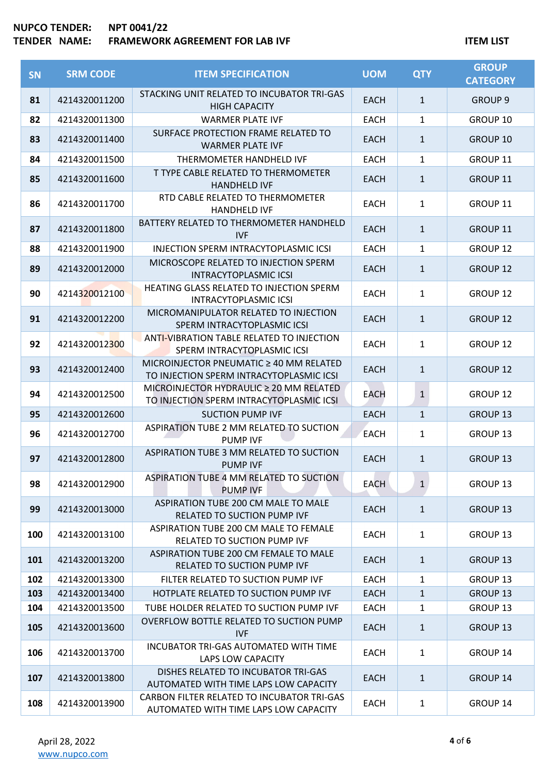# **NUPCO TENDER: NPT 0041/22**

# **TENDER NAME: FRAMEWORK AGREEMENT FOR LAB IVF ITEM ASSESSMENT ASSESSMENT POR LAB IVF**

| <b>SN</b> | <b>SRM CODE</b> | <b>ITEM SPECIFICATION</b>                                                           | <b>UOM</b>  | <b>QTY</b>   | <b>GROUP</b><br><b>CATEGORY</b> |
|-----------|-----------------|-------------------------------------------------------------------------------------|-------------|--------------|---------------------------------|
| 81        | 4214320011200   | STACKING UNIT RELATED TO INCUBATOR TRI-GAS<br><b>HIGH CAPACITY</b>                  | <b>EACH</b> | $\mathbf{1}$ | <b>GROUP 9</b>                  |
| 82        | 4214320011300   | <b>WARMER PLATE IVF</b>                                                             | <b>EACH</b> | $\mathbf{1}$ | GROUP 10                        |
| 83        | 4214320011400   | SURFACE PROTECTION FRAME RELATED TO<br><b>WARMER PLATE IVF</b>                      | <b>EACH</b> | $\mathbf{1}$ | <b>GROUP 10</b>                 |
| 84        | 4214320011500   | THERMOMETER HANDHELD IVF                                                            | <b>EACH</b> | $\mathbf{1}$ | GROUP 11                        |
| 85        | 4214320011600   | T TYPE CABLE RELATED TO THERMOMETER<br><b>HANDHELD IVF</b>                          | <b>EACH</b> | $\mathbf{1}$ | <b>GROUP 11</b>                 |
| 86        | 4214320011700   | RTD CABLE RELATED TO THERMOMETER<br><b>HANDHELD IVF</b>                             | <b>EACH</b> | $\mathbf{1}$ | GROUP 11                        |
| 87        | 4214320011800   | BATTERY RELATED TO THERMOMETER HANDHELD<br><b>IVF</b>                               | <b>EACH</b> | $\mathbf{1}$ | GROUP 11                        |
| 88        | 4214320011900   | <b>INJECTION SPERM INTRACYTOPLASMIC ICSI</b>                                        | <b>EACH</b> | 1            | GROUP <sub>12</sub>             |
| 89        | 4214320012000   | MICROSCOPE RELATED TO INJECTION SPERM<br><b>INTRACYTOPLASMIC ICSI</b>               | <b>EACH</b> | $\mathbf{1}$ | <b>GROUP 12</b>                 |
| 90        | 4214320012100   | HEATING GLASS RELATED TO INJECTION SPERM<br><b>INTRACYTOPLASMIC ICSI</b>            | <b>EACH</b> | 1            | <b>GROUP 12</b>                 |
| 91        | 4214320012200   | MICROMANIPULATOR RELATED TO INJECTION<br>SPERM INTRACYTOPLASMIC ICSI                | <b>EACH</b> | $\mathbf{1}$ | <b>GROUP 12</b>                 |
| 92        | 4214320012300   | <b>ANTI-VIBRATION TABLE RELATED TO INJECTION</b><br>SPERM INTRACYTOPLASMIC ICSI     | <b>EACH</b> | 1            | <b>GROUP 12</b>                 |
| 93        | 4214320012400   | MICROINJECTOR PNEUMATIC ≥ 40 MM RELATED<br>TO INJECTION SPERM INTRACYTOPLASMIC ICSI | <b>EACH</b> | $\mathbf{1}$ | GROUP <sub>12</sub>             |
| 94        | 4214320012500   | MICROINJECTOR HYDRAULIC ≥ 20 MM RELATED<br>TO INJECTION SPERM INTRACYTOPLASMIC ICSI | <b>EACH</b> | $\mathbf{1}$ | <b>GROUP 12</b>                 |
| 95        | 4214320012600   | <b>SUCTION PUMP IVF</b>                                                             | <b>EACH</b> | $\mathbf{1}$ | <b>GROUP 13</b>                 |
| 96        | 4214320012700   | ASPIRATION TUBE 2 MM RELATED TO SUCTION<br><b>PUMP IVF</b>                          | <b>EACH</b> | 1            | <b>GROUP 13</b>                 |
| 97        | 4214320012800   | ASPIRATION TUBE 3 MM RELATED TO SUCTION<br><b>PUMP IVF</b>                          | <b>EACH</b> | $\mathbf{1}$ | <b>GROUP 13</b>                 |
| 98        | 4214320012900   | ASPIRATION TUBE 4 MM RELATED TO SUCTION<br><b>PUMP IVF</b>                          | <b>EACH</b> | 1            | <b>GROUP 13</b>                 |
| 99        | 4214320013000   | ASPIRATION TUBE 200 CM MALE TO MALE<br>RELATED TO SUCTION PUMP IVF                  | <b>EACH</b> | $\mathbf{1}$ | <b>GROUP 13</b>                 |
| 100       | 4214320013100   | ASPIRATION TUBE 200 CM MALE TO FEMALE<br>RELATED TO SUCTION PUMP IVF                | <b>EACH</b> | $\mathbf{1}$ | GROUP 13                        |
| 101       | 4214320013200   | ASPIRATION TUBE 200 CM FEMALE TO MALE<br>RELATED TO SUCTION PUMP IVF                | <b>EACH</b> | $\mathbf{1}$ | <b>GROUP 13</b>                 |
| 102       | 4214320013300   | FILTER RELATED TO SUCTION PUMP IVF                                                  | <b>EACH</b> | 1            | <b>GROUP 13</b>                 |
| 103       | 4214320013400   | HOTPLATE RELATED TO SUCTION PUMP IVF                                                | <b>EACH</b> | $\mathbf{1}$ | GROUP 13                        |
| 104       | 4214320013500   | TUBE HOLDER RELATED TO SUCTION PUMP IVF                                             | <b>EACH</b> | $\mathbf{1}$ | <b>GROUP 13</b>                 |
| 105       | 4214320013600   | OVERFLOW BOTTLE RELATED TO SUCTION PUMP<br><b>IVF</b>                               | <b>EACH</b> | $\mathbf{1}$ | <b>GROUP 13</b>                 |
| 106       | 4214320013700   | INCUBATOR TRI-GAS AUTOMATED WITH TIME<br>LAPS LOW CAPACITY                          | <b>EACH</b> | $\mathbf{1}$ | GROUP 14                        |
| 107       | 4214320013800   | DISHES RELATED TO INCUBATOR TRI-GAS<br>AUTOMATED WITH TIME LAPS LOW CAPACITY        | <b>EACH</b> | $\mathbf{1}$ | GROUP 14                        |
| 108       | 4214320013900   | CARBON FILTER RELATED TO INCUBATOR TRI-GAS<br>AUTOMATED WITH TIME LAPS LOW CAPACITY | <b>EACH</b> | $\mathbf{1}$ | GROUP 14                        |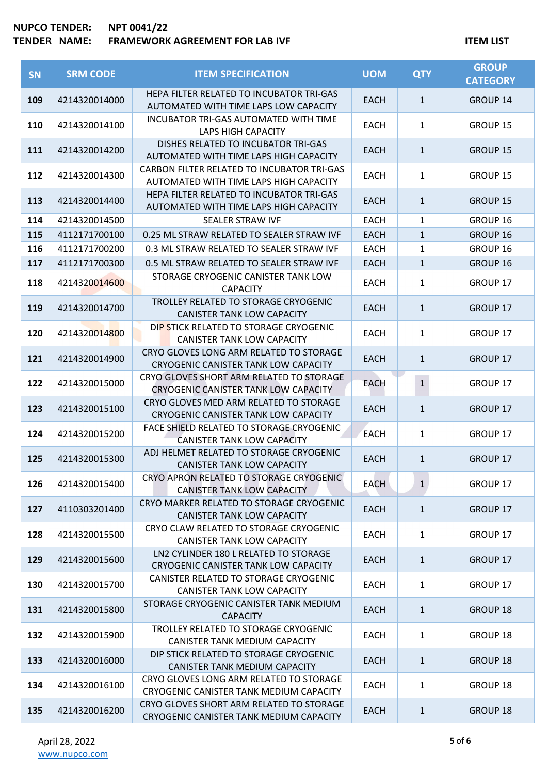## **NUPCO TENDER: NPT 0041/22 FRAMEWORK AGREEMENT FOR LAB IVF ITEM LIST**

| SN  | <b>SRM CODE</b> | <b>ITEM SPECIFICATION</b>                                                             | <b>UOM</b>  | <b>QTY</b>     | <b>GROUP</b><br><b>CATEGORY</b> |
|-----|-----------------|---------------------------------------------------------------------------------------|-------------|----------------|---------------------------------|
| 109 | 4214320014000   | HEPA FILTER RELATED TO INCUBATOR TRI-GAS<br>AUTOMATED WITH TIME LAPS LOW CAPACITY     | <b>EACH</b> | $\mathbf{1}$   | <b>GROUP 14</b>                 |
| 110 | 4214320014100   | <b>INCUBATOR TRI-GAS AUTOMATED WITH TIME</b><br><b>LAPS HIGH CAPACITY</b>             | <b>EACH</b> | $\mathbf{1}$   | GROUP 15                        |
| 111 | 4214320014200   | DISHES RELATED TO INCUBATOR TRI-GAS<br>AUTOMATED WITH TIME LAPS HIGH CAPACITY         | <b>EACH</b> | $\mathbf{1}$   | <b>GROUP 15</b>                 |
| 112 | 4214320014300   | CARBON FILTER RELATED TO INCUBATOR TRI-GAS<br>AUTOMATED WITH TIME LAPS HIGH CAPACITY  | <b>EACH</b> | $\mathbf{1}$   | GROUP 15                        |
| 113 | 4214320014400   | HEPA FILTER RELATED TO INCUBATOR TRI-GAS<br>AUTOMATED WITH TIME LAPS HIGH CAPACITY    | <b>EACH</b> | $\mathbf{1}$   | <b>GROUP 15</b>                 |
| 114 | 4214320014500   | <b>SEALER STRAW IVF</b>                                                               | <b>EACH</b> | $\mathbf{1}$   | GROUP 16                        |
| 115 | 4112171700100   | 0.25 ML STRAW RELATED TO SEALER STRAW IVF                                             | <b>EACH</b> | $\mathbf{1}$   | <b>GROUP 16</b>                 |
| 116 | 4112171700200   | 0.3 ML STRAW RELATED TO SEALER STRAW IVF                                              | <b>EACH</b> | $\mathbf{1}$   | GROUP 16                        |
| 117 | 4112171700300   | 0.5 ML STRAW RELATED TO SEALER STRAW IVF                                              | <b>EACH</b> | $\mathbf{1}$   | <b>GROUP 16</b>                 |
| 118 | 4214320014600   | STORAGE CRYOGENIC CANISTER TANK LOW<br><b>CAPACITY</b>                                | <b>EACH</b> | $\mathbf{1}$   | GROUP 17                        |
| 119 | 4214320014700   | TROLLEY RELATED TO STORAGE CRYOGENIC<br><b>CANISTER TANK LOW CAPACITY</b>             | <b>EACH</b> | $\mathbf{1}$   | <b>GROUP 17</b>                 |
| 120 | 4214320014800   | DIP STICK RELATED TO STORAGE CRYOGENIC<br>CANISTER TANK LOW CAPACITY                  | EACH        | $\mathbf{1}$   | GROUP 17                        |
| 121 | 4214320014900   | CRYO GLOVES LONG ARM RELATED TO STORAGE<br>CRYOGENIC CANISTER TANK LOW CAPACITY       | <b>EACH</b> | $\mathbf{1}$   | <b>GROUP 17</b>                 |
| 122 | 4214320015000   | CRYO GLOVES SHORT ARM RELATED TO STORAGE<br>CRYOGENIC CANISTER TANK LOW CAPACITY      | <b>EACH</b> | $\overline{1}$ | <b>GROUP 17</b>                 |
| 123 | 4214320015100   | CRYO GLOVES MED ARM RELATED TO STORAGE<br><b>CRYOGENIC CANISTER TANK LOW CAPACITY</b> | <b>EACH</b> | $\mathbf{1}$   | <b>GROUP 17</b>                 |
| 124 | 4214320015200   | FACE SHIELD RELATED TO STORAGE CRYOGENIC<br>CANISTER TANK LOW CAPACITY                | <b>EACH</b> | $\mathbf{1}$   | <b>GROUP 17</b>                 |
| 125 | 4214320015300   | ADJ HELMET RELATED TO STORAGE CRYOGENIC<br><b>CANISTER TANK LOW CAPACITY</b>          | <b>EACH</b> | $\mathbf{1}$   | <b>GROUP 17</b>                 |
| 126 | 4214320015400   | CRYO APRON RELATED TO STORAGE CRYOGENIC<br><b>CANISTER TANK LOW CAPACITY</b>          | <b>EACH</b> | 1              | GROUP 17                        |
| 127 | 4110303201400   | CRYO MARKER RELATED TO STORAGE CRYOGENIC<br><b>CANISTER TANK LOW CAPACITY</b>         | <b>EACH</b> | $\mathbf{1}$   | <b>GROUP 17</b>                 |
| 128 | 4214320015500   | CRYO CLAW RELATED TO STORAGE CRYOGENIC<br>CANISTER TANK LOW CAPACITY                  | <b>EACH</b> | $\mathbf{1}$   | GROUP 17                        |
| 129 | 4214320015600   | LN2 CYLINDER 180 L RELATED TO STORAGE<br>CRYOGENIC CANISTER TANK LOW CAPACITY         | <b>EACH</b> | $\mathbf{1}$   | <b>GROUP 17</b>                 |
| 130 | 4214320015700   | CANISTER RELATED TO STORAGE CRYOGENIC<br><b>CANISTER TANK LOW CAPACITY</b>            | <b>EACH</b> | $\mathbf{1}$   | GROUP 17                        |
| 131 | 4214320015800   | STORAGE CRYOGENIC CANISTER TANK MEDIUM<br><b>CAPACITY</b>                             | <b>EACH</b> | $\mathbf{1}$   | <b>GROUP 18</b>                 |
| 132 | 4214320015900   | TROLLEY RELATED TO STORAGE CRYOGENIC<br>CANISTER TANK MEDIUM CAPACITY                 | <b>EACH</b> | $\mathbf{1}$   | GROUP 18                        |
| 133 | 4214320016000   | DIP STICK RELATED TO STORAGE CRYOGENIC<br>CANISTER TANK MEDIUM CAPACITY               | <b>EACH</b> | $\mathbf{1}$   | <b>GROUP 18</b>                 |
| 134 | 4214320016100   | CRYO GLOVES LONG ARM RELATED TO STORAGE<br>CRYOGENIC CANISTER TANK MEDIUM CAPACITY    | <b>EACH</b> | $\mathbf{1}$   | GROUP 18                        |
| 135 | 4214320016200   | CRYO GLOVES SHORT ARM RELATED TO STORAGE<br>CRYOGENIC CANISTER TANK MEDIUM CAPACITY   | <b>EACH</b> | $\mathbf{1}$   | <b>GROUP 18</b>                 |